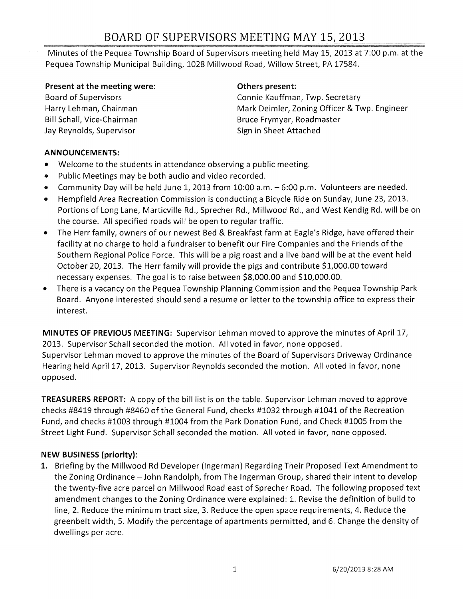# BOARD OF SUPERVISORS MEETING MAY 15, 2013

Minutes of the Pequea Township Board of Supervisors meeting held May 15,2013 at 7:00 p.m. at the Pequea Township Municipal Building, 1028 Millwood Road, Willow Street, PA 17584.

#### Present at the meeting were:

Board of Supervisors Harry Lehman, Chairman Bill Schall, Vice-Chairman Jay Reynolds, Supervisor

### Others present:

Connie Kauffman, Twp. Secretary Mark Deimler, Zoning Officer & Twp. Engineer Bruce Frymyer, Roadmaster Sign in Sheet Attached

## ANNOUNCEMENTS:

- Welcome to the students in attendance observing a public meeting.
- Public Meetings may be both audio and video recorded.
- Community Day will be held June 1, 2013 from 10:00 a.m. 6:00 p.m. Volunteers are needed.
- Hempfield Area Recreation Commission is conducting a Bicycle Ride on Sunday, June 23, 2013. Portions of Long Lane, Marticville Rd., Sprecher Rd., Millwood Rd., and West Kendig Rd. will be on the course. All specified roads will be open to regular traffic.
- The Herr family, owners of our newest Bed & Breakfast farm at Eagle's Ridge, have offered their facility at no charge to hold a fundraiser to benefit our Fire Companies and the Friends of the Southern Regional Police Force. This will be a pig roast and a live band will be at the event held October 20, 2013. The Herr family will provide the pigs and contribute \$1,000.00 toward necessary expenses. The goal is to raise between \$8,000.00 and \$10,000.00.
- There is a vacancy on the Pequea Township Planning Commission and the Pequea Township Park Board. Anyone interested should send a resume or letter to the township office to express their interest.

MINUTES OF PREVIOUS MEETING: Supervisor Lehman moved to approve the minutes of April 17, 2013. Supervisor Schall seconded the motion. All voted in favor, none opposed. Supervisor Lehman moved to approve the minutes of the Board of Supervisors Driveway Ordinance Hearing held April 17, 2013. Supervisor Reynolds seconded the motion. All voted in favor, none opposed.

TREASURERS REPORT: A copy of the bill list is on the table. Supervisor Lehman moved to approve checks #8419 through #8460 of the General Fund, checks #1032 through #1041 of the Recreation Fund, and checks #1003 through #1004 from the Park Donation Fund, and Check #1005 from the Street Light Fund. Supervisor Schall seconded the motion. All voted in favor, none opposed.

# NEW BUSINESS (priority):

1. Briefing by the Millwood Rd Developer (Ingerman) Regarding Their Proposed Text Amendment to the Zoning Ordinance - John Randolph, from The Ingerman Group, shared their intent to develop the twenty-five acre parcel on Millwood Road east of Sprecher Road. The following proposed text amendment changes to the Zoning Ordinance were explained: 1. Revise the definition of build to line, 2. Reduce the minimum tract size, 3. Reduce the open space requirements, 4. Reduce the greenbelt width,S. Modify the percentage of apartments permitted, and 6. Change the density of dwellings per acre.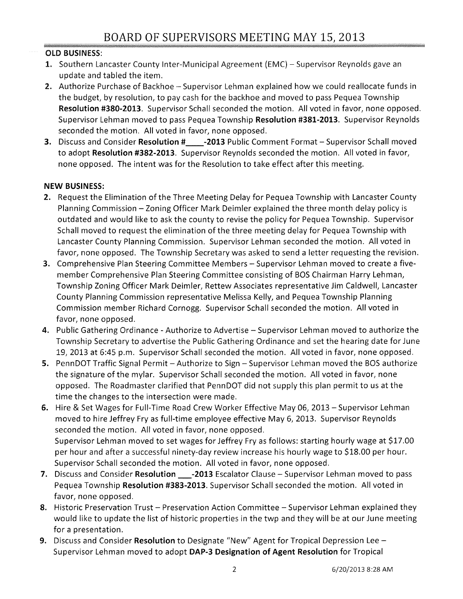# OLD BUSINESS:

- **1.** Southern Lancaster County Inter-Municipal Agreement (EMC) Supervisor Reynolds gave an update and tabled the item.
- 2. Authorize Purchase of Backhoe Supervisor Lehman explained how we could reallocate funds in the budget, by resolution, to pay cash for the backhoe and moved to pass Pequea Township Resolution #380-2013. Supervisor Schall seconded the motion. All voted in favor, none opposed. Supervisor Lehman moved to pass Pequea Township Resolution #381-2013. Supervisor Reynolds seconded the motion. All voted in favor, none opposed.
- 3. Discuss and Consider Resolution # 2013 Public Comment Format Supervisor Schall moved to adopt Resolution #382-2013. Supervisor Reynolds seconded the motion. All voted in favor, none opposed. The intent was for the Resolution to take effect after this meeting.

## NEW BUSINESS:

- 2. Request the Elimination of the Three Meeting Delay for Pequea Township with Lancaster County Planning Commission - Zoning Officer Mark Deimler explained the three month delay policy is outdated and would like to ask the county to revise the policy for Pequea Township. Supervisor Schall moved to request the elimination of the three meeting delay for Pequea Township with Lancaster County Planning Commission. Supervisor Lehman seconded the motion. All voted in favor, none opposed. The Township Secretary was asked to send a letter requesting the revision.
- 3. Comprehensive Plan Steering Committee Members Supervisor Lehman moved to create a fivemember Comprehensive Plan Steering Committee consisting of BOS Chairman Harry Lehman, Township Zoning Officer Mark Deimler, Rettew Associates representative Jim Caldwell, Lancaster County Planning Commission representative Melissa Kelly, and Pequea Township Planning Commission member Richard Cornogg. Supervisor Schall seconded the motion. All voted in favor, none opposed.
- 4. Public Gathering Ordinance Authorize to Advertise Supervisor Lehman moved to authorize the Township Secretary to advertise the Public Gathering Ordinance and set the hearing date for June 19, 2013 at 6:45 p.m. Supervisor Schall seconded the motion. All voted in favor, none opposed.
- 5. PennDOT Traffic Signal Permit Authorize to Sign Supervisor Lehman moved the BOS authorize the signature of the mylar. Supervisor Schall seconded the motion. All voted in favor, none opposed. The Roadmaster clarified that PennDOT did not supply this plan permit to us at the time the changes to the intersection were made.
- 6. Hire & Set Wages for Full-Time Road Crew Worker Effective May 06, 2013 Supervisor Lehman moved to hire Jeffrey Fry as full-time employee effective May 6, 2013. Supervisor Reynolds seconded the motion. All voted in favor, none opposed. Supervisor Lehman moved to set wages for Jeffrey Fry as follows: starting hourly wage at \$17.00 per hour and after a successful ninety-day review increase his hourly wage to \$18.00 per hour. Supervisor Schall seconded the motion. All voted in favor, none opposed.
- 7. Discuss and Consider Resolution \_\_\_-2013 Escalator Clause Supervisor Lehman moved to pass Pequea Township Resolution #383-2013. Supervisor Schall seconded the motion. All voted in favor, none opposed.
- 8. Historic Preservation Trust Preservation Action Committee Supervisor Lehman explained they would like to update the list of historic properties in the twp and they will be at our June meeting for a presentation.
- 9. Discuss and Consider Resolution to Designate "New" Agent for Tropical Depression Lee -Supervisor Lehman moved to adopt DAP-3 Designation of Agent Resolution for Tropical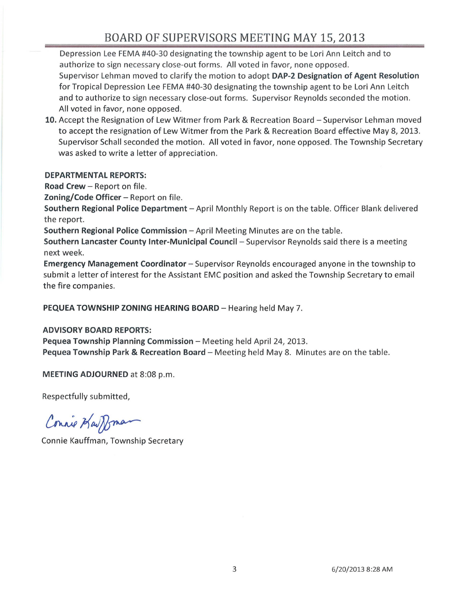# BOARD OF SUPERVISORS MEETING MAY 15, 2013

Depression Lee FEMA #40-30 designating the township agent to be Lori Ann Leitch and to authorize to sign necessary close-out forms. All voted in favor, none opposed. Supervisor Lehman moved to clarify the motion to adopt DAP-2 Designation of Agent Resolution for Tropical Depression Lee FEMA #40-30 designating the township agent to be Lori Ann Leitch and to authorize to sign necessary close-out forms. Supervisor Reynolds seconded the motion. All voted in favor, none opposed.

10. Accept the Resignation of Lew Witmer from Park & Recreation Board – Supervisor Lehman moved to accept the resignation of Lew Witmer from the Park & Recreation Board effective May 8, 2013. Supervisor Schall seconded the motion. All voted in favor, none opposed. The Township Secretary was asked to write a letter of appreciation.

#### DEPARTMENTAL REPORTS:

Road Crew - Report on file.

Zoning/Code Officer - Report on file.

Southern Regional Police Department - April Monthly Report is on the table. Officer Blank delivered the report.

Southern Regional Police Commission - April Meeting Minutes are on the table.

Southern Lancaster County Inter-Municipal Council - Supervisor Reynolds said there is a meeting next week.

Emergency Management Coordinator - Supervisor Reynolds encouraged anyone in the township to submit a letter of interest for the Assistant EMC position and asked the Township Secretary to email the fire companies.

PEQUEA TOWNSHIP ZONING HEARING BOARD - Hearing held May 7.

### ADVISORY BOARD REPORTS:

Pequea Township Planning Commission - Meeting held April 24, 2013.

Pequea Township Park & Recreation Board - Meeting held May 8. Minutes are on the table.

MEETING ADJOURNED at 8:08 p.m.

Respectfully submitted,

Connie Kaupman

Connie Kauffman, Township Secretary